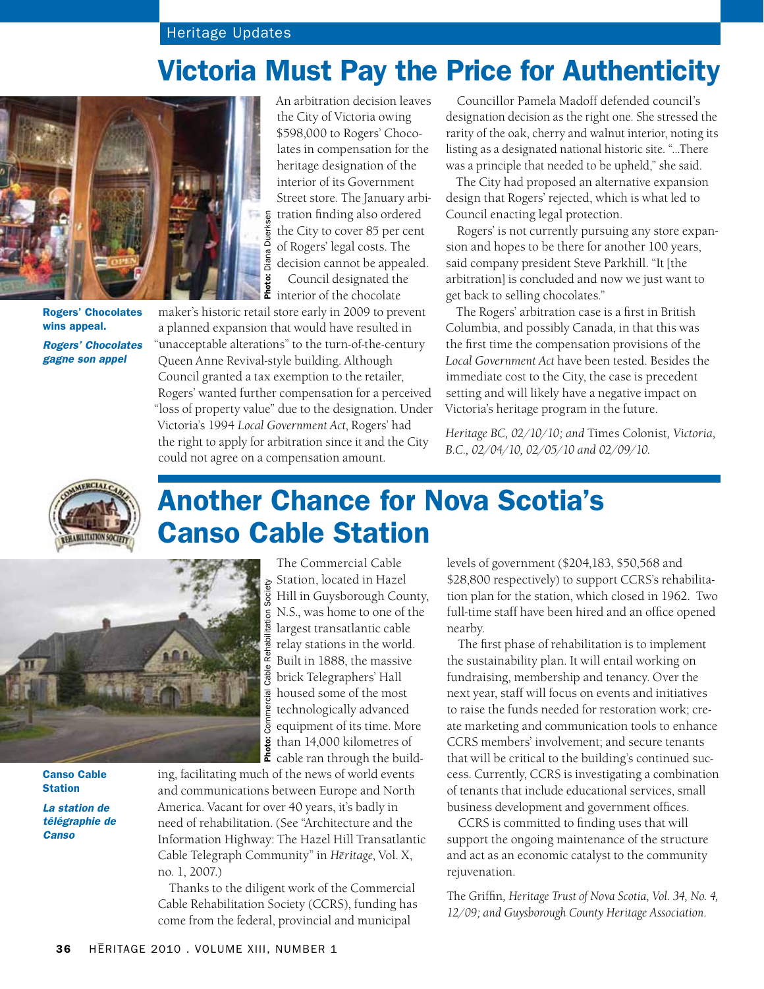## Victoria Must Pay the Price for Authenticity



Rogers' Chocolates wins appeal. *Rogers' Chocolates gagne son appel*

An arbitration decision leaves the City of Victoria owing \$598,000 to Rogers' Chocolates in compensation for the heritage designation of the interior of its Government Street store. The January arbitration finding also ordered the City to cover 85 per cent of Rogers' legal costs. The decision cannot be appealed. Council designated the interior of the chocolate

maker's historic retail store early in 2009 to prevent a planned expansion that would have resulted in "unacceptable alterations" to the turn-of-the-century Queen Anne Revival-style building. Although Council granted a tax exemption to the retailer, Rogers' wanted further compensation for a perceived "loss of property value" due to the designation. Under Victoria's 1994 *Local Government Act*, Rogers' had the right to apply for arbitration since it and the City could not agree on a compensation amount.

Councillor Pamela Madoff defended council's designation decision as the right one. She stressed the rarity of the oak, cherry and walnut interior, noting its listing as a designated national historic site. "…There was a principle that needed to be upheld," she said.

The City had proposed an alternative expansion design that Rogers' rejected, which is what led to Council enacting legal protection.

Rogers' is not currently pursuing any store expansion and hopes to be there for another 100 years, said company president Steve Parkhill. "It [the arbitration] is concluded and now we just want to get back to selling chocolates."

The Rogers' arbitration case is a first in British Columbia, and possibly Canada, in that this was the first time the compensation provisions of the *Local Government Act* have been tested. Besides the immediate cost to the City, the case is precedent setting and will likely have a negative impact on Victoria's heritage program in the future.

*Heritage BC, 02/10/10; and* Times Colonist*, Victoria, B.C., 02/04/10, 02/05/10 and 02/09/10.* 





Canso Cable **Station** 

*La station de télégraphie de Canso*

# Another Chance for Nova Scotia's Canso Cable Station

The Commercial Cable Station, located in Hazel Hill in Guysborough County, N.S., was home to one of the largest transatlantic cable relay stations in the world. Built in 1888, the massive brick Telegraphers' Hall housed some of the most technologically advanced equipment of its time. More than 14,000 kilometres of cable ran through the build-

ing, facilitating much of the news of world events and communications between Europe and North America. Vacant for over 40 years, it's badly in need of rehabilitation. (See "Architecture and the Information Highway: The Hazel Hill Transatlantic Cable Telegraph Community" in *Hēritage*, Vol. X, no. 1, 2007.)

**Photo:** Commercial Cable Rehabilitation Society

 $\overline{c}$ abl $\overline{c}$ 

Commercial

Rehabi

Society

itation

Thanks to the diligent work of the Commercial Cable Rehabilitation Society (CCRS), funding has come from the federal, provincial and municipal

levels of government (\$204,183, \$50,568 and \$28,800 respectively) to support CCRS's rehabilitation plan for the station, which closed in 1962. Two full-time staff have been hired and an office opened nearby.

The first phase of rehabilitation is to implement the sustainability plan. It will entail working on fundraising, membership and tenancy. Over the next year, staff will focus on events and initiatives to raise the funds needed for restoration work; create marketing and communication tools to enhance CCRS members' involvement; and secure tenants that will be critical to the building's continued success. Currently, CCRS is investigating a combination of tenants that include educational services, small business development and government offices.

CCRS is committed to finding uses that will support the ongoing maintenance of the structure and act as an economic catalyst to the community rejuvenation.

The Griffin*, Heritage Trust of Nova Scotia, Vol. 34, No. 4, 12/09; and Guysborough County Heritage Association.*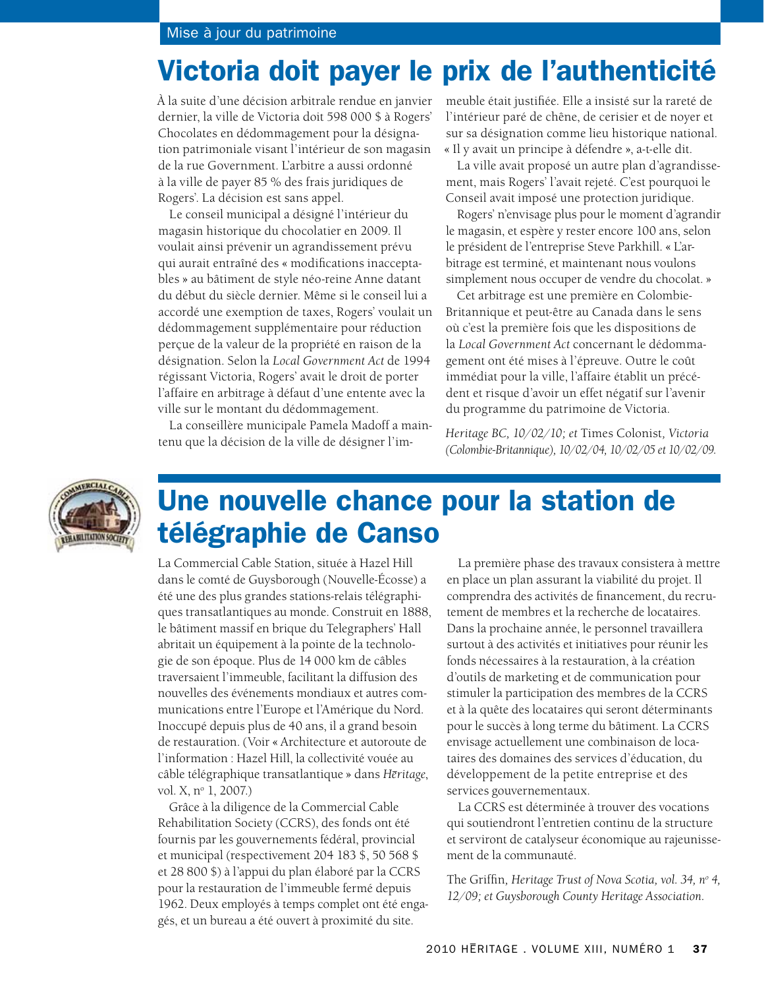#### Mise à jour du patrimoine

### Victoria doit payer le prix de l'authenticité

À la suite d'une décision arbitrale rendue en janvier dernier, la ville de Victoria doit 598 000 \$ à Rogers' Chocolates en dédommagement pour la désignation patrimoniale visant l'intérieur de son magasin de la rue Government. L'arbitre a aussi ordonné à la ville de payer 85 % des frais juridiques de Rogers'. La décision est sans appel.

Le conseil municipal a désigné l'intérieur du magasin historique du chocolatier en 2009. Il voulait ainsi prévenir un agrandissement prévu qui aurait entraîné des « modifications inacceptables » au bâtiment de style néo-reine Anne datant du début du siècle dernier. Même si le conseil lui a accordé une exemption de taxes, Rogers' voulait un dédommagement supplémentaire pour réduction perçue de la valeur de la propriété en raison de la désignation. Selon la *Local Government Act* de 1994 régissant Victoria, Rogers' avait le droit de porter l'affaire en arbitrage à défaut d'une entente avec la ville sur le montant du dédommagement.

La conseillère municipale Pamela Madoff a maintenu que la décision de la ville de désigner l'im-

meuble était justifiée. Elle a insisté sur la rareté de l'intérieur paré de chêne, de cerisier et de noyer et sur sa désignation comme lieu historique national. « Il y avait un principe à défendre », a-t-elle dit.

La ville avait proposé un autre plan d'agrandissement, mais Rogers' l'avait rejeté. C'est pourquoi le Conseil avait imposé une protection juridique.

Rogers' n'envisage plus pour le moment d'agrandir le magasin, et espère y rester encore 100 ans, selon le président de l'entreprise Steve Parkhill. « L'arbitrage est terminé, et maintenant nous voulons simplement nous occuper de vendre du chocolat. »

Cet arbitrage est une première en Colombie-Britannique et peut-être au Canada dans le sens où c'est la première fois que les dispositions de la *Local Government Act* concernant le dédommagement ont été mises à l'épreuve. Outre le coût immédiat pour la ville, l'affaire établit un précédent et risque d'avoir un effet négatif sur l'avenir du programme du patrimoine de Victoria.

*Heritage BC, 10/02/10; et* Times Colonist*, Victoria (Colombie-Britannique), 10/02/04, 10/02/05 et 10/02/09.*



## Une nouvelle chance pour la station de télégraphie de Canso

La Commercial Cable Station, située à Hazel Hill dans le comté de Guysborough (Nouvelle-Écosse) a été une des plus grandes stations-relais télégraphiques transatlantiques au monde. Construit en 1888, le bâtiment massif en brique du Telegraphers' Hall abritait un équipement à la pointe de la technologie de son époque. Plus de 14 000 km de câbles traversaient l'immeuble, facilitant la diffusion des nouvelles des événements mondiaux et autres communications entre l'Europe et l'Amérique du Nord. Inoccupé depuis plus de 40 ans, il a grand besoin de restauration. (Voir « Architecture et autoroute de l'information : Hazel Hill, la collectivité vouée au câble télégraphique transatlantique » dans *Hēritage*, vol. X, n<sup>o</sup> 1, 2007.)

Grâce à la diligence de la Commercial Cable Rehabilitation Society (CCRS), des fonds ont été fournis par les gouvernements fédéral, provincial et municipal (respectivement 204 183 \$, 50 568 \$ et 28 800 \$) à l'appui du plan élaboré par la CCRS pour la restauration de l'immeuble fermé depuis 1962. Deux employés à temps complet ont été engagés, et un bureau a été ouvert à proximité du site.

La première phase des travaux consistera à mettre en place un plan assurant la viabilité du projet. Il comprendra des activités de financement, du recrutement de membres et la recherche de locataires. Dans la prochaine année, le personnel travaillera surtout à des activités et initiatives pour réunir les fonds nécessaires à la restauration, à la création d'outils de marketing et de communication pour stimuler la participation des membres de la CCRS et à la quête des locataires qui seront déterminants pour le succès à long terme du bâtiment. La CCRS envisage actuellement une combinaison de locataires des domaines des services d'éducation, du développement de la petite entreprise et des services gouvernementaux.

La CCRS est déterminée à trouver des vocations qui soutiendront l'entretien continu de la structure et serviront de catalyseur économique au rajeunissement de la communauté.

The Griffin*, Heritage Trust of Nova Scotia, vol. 34, no 4, 12/09; et Guysborough County Heritage Association.*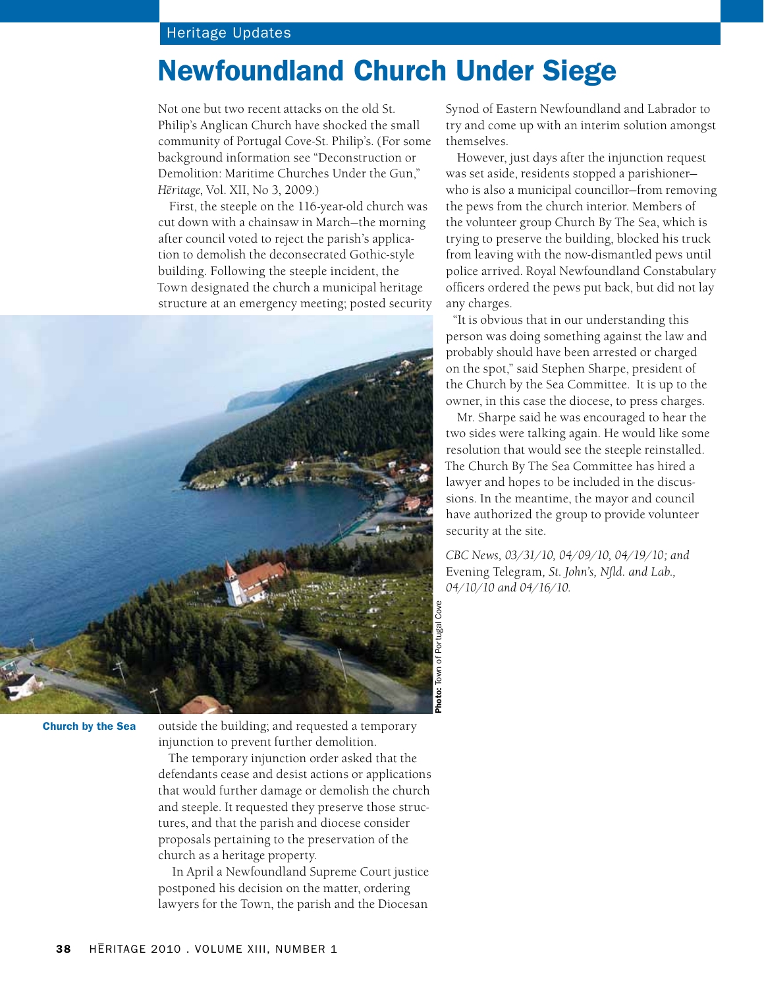#### Heritage Updates

### Newfoundland Church Under Siege

Not one but two recent attacks on the old St. Philip's Anglican Church have shocked the small community of Portugal Cove-St. Philip's. (For some background information see "Deconstruction or Demolition: Maritime Churches Under the Gun," *H–eritage*, Vol. XII, No 3, 2009.)

First, the steeple on the 116-year-old church was cut down with a chainsaw in March—the morning after council voted to reject the parish's application to demolish the deconsecrated Gothic-style building. Following the steeple incident, the Town designated the church a municipal heritage structure at an emergency meeting; posted security



Church by the Sea

outside the building; and requested a temporary injunction to prevent further demolition.

The temporary injunction order asked that the defendants cease and desist actions or applications that would further damage or demolish the church and steeple. It requested they preserve those structures, and that the parish and diocese consider proposals pertaining to the preservation of the church as a heritage property.

 In April a Newfoundland Supreme Court justice postponed his decision on the matter, ordering lawyers for the Town, the parish and the Diocesan

Synod of Eastern Newfoundland and Labrador to try and come up with an interim solution amongst themselves.

However, just days after the injunction request was set aside, residents stopped a parishioner who is also a municipal councillor—from removing the pews from the church interior. Members of the volunteer group Church By The Sea, which is trying to preserve the building, blocked his truck from leaving with the now-dismantled pews until police arrived. Royal Newfoundland Constabulary officers ordered the pews put back, but did not lay any charges.

"It is obvious that in our understanding this person was doing something against the law and probably should have been arrested or charged on the spot," said Stephen Sharpe, president of the Church by the Sea Committee. It is up to the owner, in this case the diocese, to press charges.

Mr. Sharpe said he was encouraged to hear the two sides were talking again. He would like some resolution that would see the steeple reinstalled. The Church By The Sea Committee has hired a lawyer and hopes to be included in the discussions. In the meantime, the mayor and council have authorized the group to provide volunteer security at the site.

*CBC News, 03/31/10, 04/09/10, 04/19/10; and*  Evening Telegram*, St. John's, Nfld. and Lab., 04/10/10 and 04/16/10.*